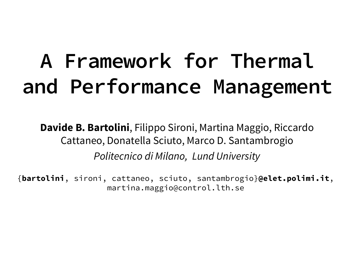# **A Framework for Thermal and Performance Management**

**Davide B. Bartolini**, Filippo Sironi, Martina Maggio, Riccardo Cattaneo, Donatella Sciuto, Marco D. Santambrogio *Politecnico di Milano, Lund University*

{**bartolini**, sironi, cattaneo, sciuto, santambrogio}**@elet.polimi.it**, martina.maggio@control.lth.se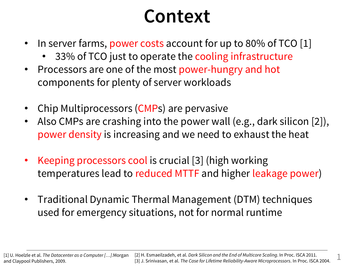#### **Context**

- In server farms, power costs account for up to 80% of TCO [1]
	- 33% of TCO just to operate the cooling infrastructure
- Processors are one of the most power-hungry and hot components for plenty of server workloads
- Chip Multiprocessors (CMPs) are pervasive
- Also CMPs are crashing into the power wall (e.g., dark silicon [2]), power density is increasing and we need to exhaust the heat
- Keeping processors cool is crucial [3] (high working temperatures lead to reduced MTTF and higher leakage power)
- Traditional Dynamic Thermal Management (DTM) techniques used for emergency situations, not for normal runtime

[1] U. Hoelzle et al. *The Datacenter as a Computer […]*.Morgan and Claypool Publishers, 2009.

1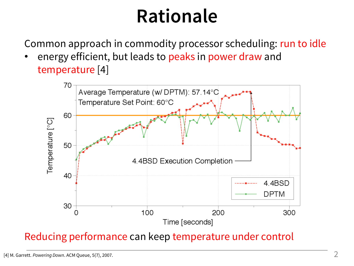## **Rationale**

Common approach in commodity processor scheduling: run to idle

energy efficient, but leads to peaks in power draw and temperature [4]



#### Reducing performance can keep temperature under control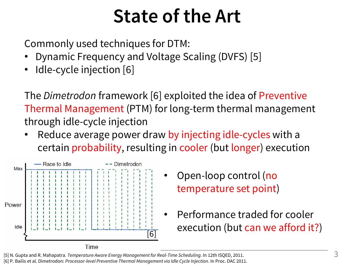## **State of the Art**

Commonly used techniques for DTM:

- Dynamic Frequency and Voltage Scaling (DVFS) [5]
- Idle-cycle injection [6]

The *Dimetrodon* framework [6] exploited the idea of Preventive Thermal Management (PTM) for long-term thermal management through idle-cycle injection

Reduce average power draw by injecting idle-cycles with a certain probability, resulting in cooler (but longer) execution



- Open-loop control (no temperature set point)
- Performance traded for cooler execution (but can we afford it?)

[5] N. Gupta and R. Mahapatra. *Temperature Aware Energy Management for Real-Time Scheduling*. In 12th ISQED, 2011.

[6] P. Bailis et al. Dimetrodon: *Processor-level Preventive Thermal Management via Idle Cycle Injection*. In Proc. DAC 2011.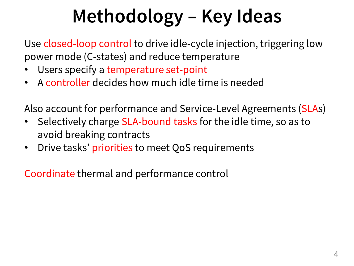# **Methodology – Key Ideas**

Use closed-loop control to drive idle-cycle injection, triggering low power mode (C-states) and reduce temperature

- Users specify a temperature set-point
- A controller decides how much idle time is needed

Also account for performance and Service-Level Agreements (SLAs)

- Selectively charge SLA-bound tasks for the idle time, so as to avoid breaking contracts
- Drive tasks' priorities to meet QoS requirements

Coordinate thermal and performance control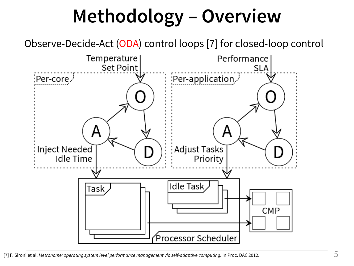# **Methodology – Overview**

Observe-Decide-Act (ODA) control loops [7] for closed-loop control

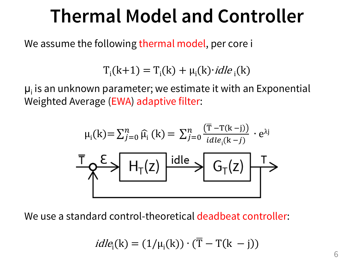### **Thermal Model and Controller**

We assume the following thermal model, per core i

 $T_i(k+1) = T_i(k) + \mu_i(k) \cdot idle_i(k)$ 

 $\mu_i$  is an unknown parameter; we estimate it with an Exponential Weighted Average (EWA) adaptive filter:

$$
\mu_{i}(k) = \sum_{j=0}^{n} \widehat{\mu}_{i}(k) = \sum_{j=0}^{n} \frac{(\overline{T} - T(k-j))}{i d le_{i}(k-j)} \cdot e^{\lambda j}
$$
  

$$
\overline{T} \downarrow \qquad \qquad \sum E \searrow \qquad H_{T}(z) \qquad \text{idle} \searrow \qquad G_{T}(z) \qquad \qquad \overline{T} \searrow
$$

We use a standard control-theoretical deadbeat controller:

$$
idle_i(k) = (1/\mu_i(k)) \cdot (\overline{T} - T(k - j))
$$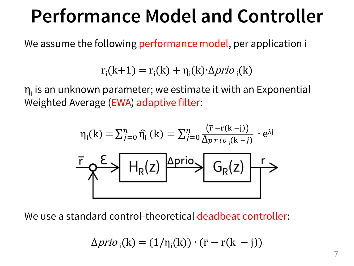### **Performance Model and Controller**

We assume the following performance model, per application i

 $r_i(k+1) = r_i(k) + \eta_i(k) \Delta \text{prio}_i(k)$ 

 $\eta_{\mathsf{i}}$  is an unknown parameter; we estimate it with an Exponential Weighted Average (EWA) adaptive filter:

$$
\eta_i(k) = \sum_{j=0}^n \widehat{\eta_i}(k) = \sum_{j=0}^n \frac{(\bar{r} - r(k-j))}{\Delta p r i o_i(k-j)} \cdot e^{\lambda j}
$$
  

$$
\overline{\Gamma} \downarrow \qquad \qquad
$$
  

$$
\overline{\Gamma} \downarrow \qquad \qquad
$$
  

$$
\overline{\Gamma} \downarrow \qquad \qquad
$$
  

$$
\overline{\Gamma} \downarrow \qquad \qquad
$$
  

$$
\overline{\Gamma} \downarrow \qquad \qquad
$$
  

$$
\overline{\Gamma} \downarrow \qquad \qquad
$$
  

$$
\overline{\Gamma} \downarrow \qquad \qquad
$$
  

$$
\overline{\Gamma} \downarrow \qquad \qquad
$$
  

$$
\overline{\Gamma} \downarrow \qquad \qquad
$$
  

$$
\overline{\Gamma} \downarrow \qquad \qquad
$$
  

$$
\overline{\Gamma} \downarrow \qquad \qquad
$$
  

$$
\overline{\Gamma} \downarrow \qquad \qquad
$$
  

$$
\overline{\Gamma} \downarrow \qquad \qquad
$$
  

$$
\overline{\Gamma} \downarrow \qquad \qquad
$$
  

$$
\overline{\Gamma} \downarrow \qquad \qquad
$$
  

$$
\overline{\Gamma} \downarrow \qquad \qquad
$$
  

$$
\overline{\Gamma} \downarrow \qquad \qquad
$$
  

$$
\overline{\Gamma} \downarrow \qquad \qquad
$$
  

$$
\overline{\Gamma} \downarrow \qquad \qquad
$$

We use a standard control-theoretical deadbeat controller:

$$
\Delta prio_{i}(k) = (1/\eta_{i}(k)) \cdot (\bar{r} - r(k - j))
$$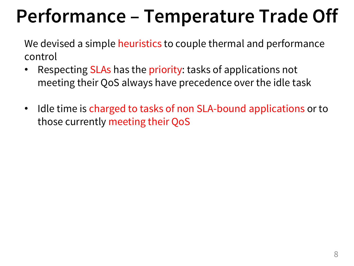# **Performance – Temperature Trade Off**

We devised a simple heuristics to couple thermal and performance control

- Respecting SLAs has the priority: tasks of applications not meeting their QoS always have precedence over the idle task
- Idle time is charged to tasks of non SLA-bound applications or to those currently meeting their QoS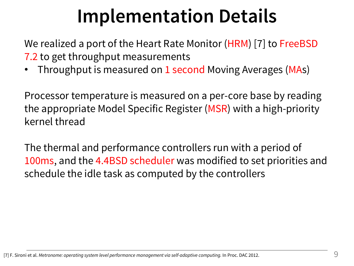# **Implementation Details**

We realized a port of the Heart Rate Monitor (HRM) [7] to FreeBSD 7.2 to get throughput measurements

Throughput is measured on 1 second Moving Averages (MAs)

Processor temperature is measured on a per-core base by reading the appropriate Model Specific Register (MSR) with a high-priority kernel thread

The thermal and performance controllers run with a period of 100ms, and the 4.4BSD scheduler was modified to set priorities and schedule the idle task as computed by the controllers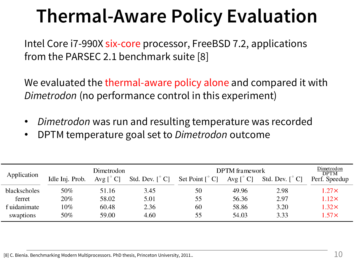# **Thermal-Aware Policy Evaluation**

Intel Core i7-990X six-core processor, FreeBSD 7.2, applications from the PARSEC 2.1 benchmark suite [8]

We evaluated the thermal-aware policy alone and compared it with *Dimetrodon* (no performance control in this experiment)

- *Dimetrodon* was run and resulting temperature was recorded
- DPTM temperature goal set to *Dimetrodon* outcome

| Application  | Dimetrodon      |           |                                     | <b>DPTM</b> framework               |                   |                                     | Dimetrodon<br><b>DPTM</b> |
|--------------|-----------------|-----------|-------------------------------------|-------------------------------------|-------------------|-------------------------------------|---------------------------|
|              | Idle Inj. Prob. | Avg [° C] | Std. Dev. $\lceil \degree C \rceil$ | Set Point $\lceil \degree C \rceil$ | Avg $[^{\circ}C]$ | Std. Dev. $\lceil \degree C \rceil$ | Perf. Speedup             |
| blackscholes | 50%             | 51.16     | 3.45                                | 50                                  | 49.96             | 2.98                                | $1.27\times$              |
| ferret       | 20%             | 58.02     | 5.01                                | 55                                  | 56.36             | 2.97                                | $1.12\times$              |
| f uidanimate | $10\%$          | 60.48     | 2.36                                | 60                                  | 58.86             | 3.20                                | $1.32\times$              |
| swaptions    | 50%             | 59.00     | 4.60                                | 55                                  | 54.03             | 3.33                                | $1.57\times$              |

[8] C. Bienia. Benchmarking Modern Multiprocessors. PhD thesis, Princeton University, 2011..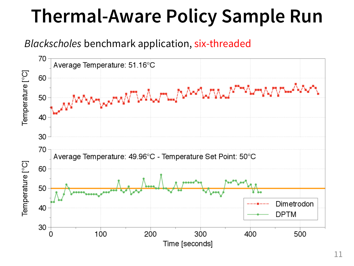# **Thermal-Aware Policy Sample Run**

#### *Blackscholes* benchmark application, six-threaded

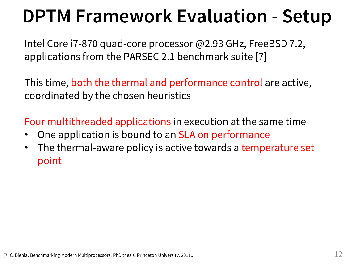## **DPTM Framework Evaluation - Setup**

Intel Core i7-870 quad-core processor @2.93 GHz, FreeBSD 7.2, applications from the PARSEC 2.1 benchmark suite [7]

This time, both the thermal and performance control are active, coordinated by the chosen heuristics

Four multithreaded applications in execution at the same time

- One application is bound to an SLA on performance
- The thermal-aware policy is active towards a temperature set point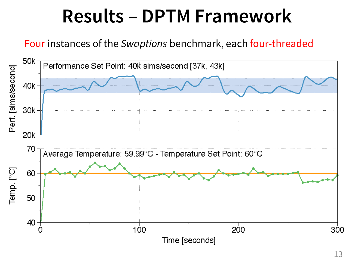### **Results – DPTM Framework**

Four instances of the *Swaptions* benchmark, each four-threaded

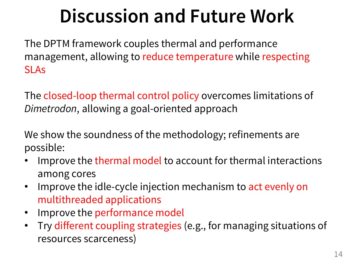# **Discussion and Future Work**

The DPTM framework couples thermal and performance management, allowing to reduce temperature while respecting SLAs

The closed-loop thermal control policy overcomes limitations of *Dimetrodon*, allowing a goal-oriented approach

We show the soundness of the methodology; refinements are possible:

- Improve the thermal model to account for thermal interactions among cores
- Improve the idle-cycle injection mechanism to act evenly on multithreaded applications
- Improve the performance model
- Try different coupling strategies (e.g., for managing situations of resources scarceness)